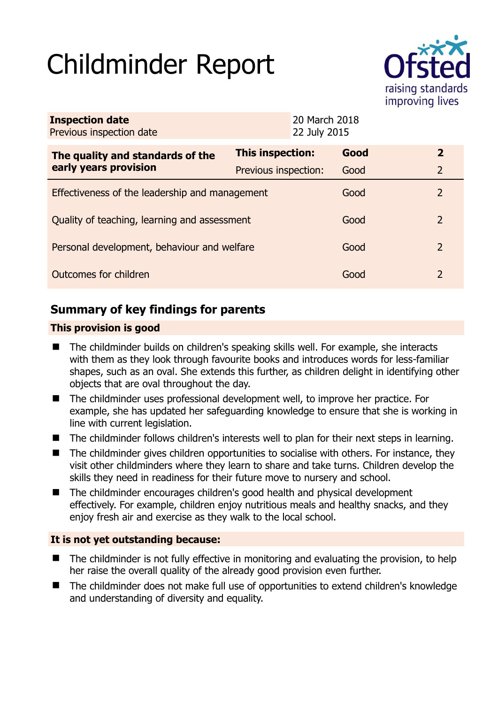# Childminder Report



| <b>Inspection date</b><br>Previous inspection date | 20 March 2018<br>22 July 2015 |  |      |               |
|----------------------------------------------------|-------------------------------|--|------|---------------|
| The quality and standards of the                   | This inspection:              |  | Good | $\mathbf{2}$  |
| early years provision                              | Previous inspection:          |  | Good | 2             |
| Effectiveness of the leadership and management     |                               |  | Good | 2             |
| Quality of teaching, learning and assessment       |                               |  | Good | $\mathcal{L}$ |
| Personal development, behaviour and welfare        |                               |  | Good | 2             |
| Outcomes for children                              |                               |  | Good | 2             |

# **Summary of key findings for parents**

## **This provision is good**

- The childminder builds on children's speaking skills well. For example, she interacts with them as they look through favourite books and introduces words for less-familiar shapes, such as an oval. She extends this further, as children delight in identifying other objects that are oval throughout the day.
- The childminder uses professional development well, to improve her practice. For example, she has updated her safeguarding knowledge to ensure that she is working in line with current legislation.
- The childminder follows children's interests well to plan for their next steps in learning.
- The childminder gives children opportunities to socialise with others. For instance, they visit other childminders where they learn to share and take turns. Children develop the skills they need in readiness for their future move to nursery and school.
- The childminder encourages children's good health and physical development effectively. For example, children enjoy nutritious meals and healthy snacks, and they enjoy fresh air and exercise as they walk to the local school.

### **It is not yet outstanding because:**

- The childminder is not fully effective in monitoring and evaluating the provision, to help her raise the overall quality of the already good provision even further.
- The childminder does not make full use of opportunities to extend children's knowledge and understanding of diversity and equality.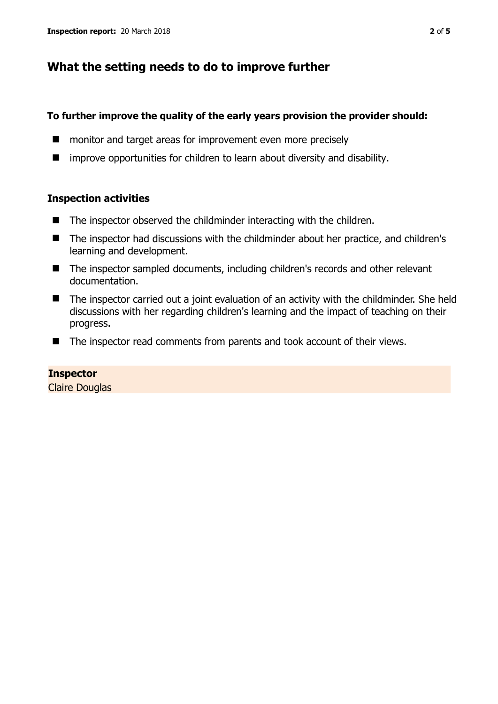## **What the setting needs to do to improve further**

#### **To further improve the quality of the early years provision the provider should:**

- **E** monitor and target areas for improvement even more precisely
- $\blacksquare$  improve opportunities for children to learn about diversity and disability.

#### **Inspection activities**

- The inspector observed the childminder interacting with the children.
- The inspector had discussions with the childminder about her practice, and children's learning and development.
- The inspector sampled documents, including children's records and other relevant documentation.
- The inspector carried out a joint evaluation of an activity with the childminder. She held discussions with her regarding children's learning and the impact of teaching on their progress.
- The inspector read comments from parents and took account of their views.

### **Inspector**

Claire Douglas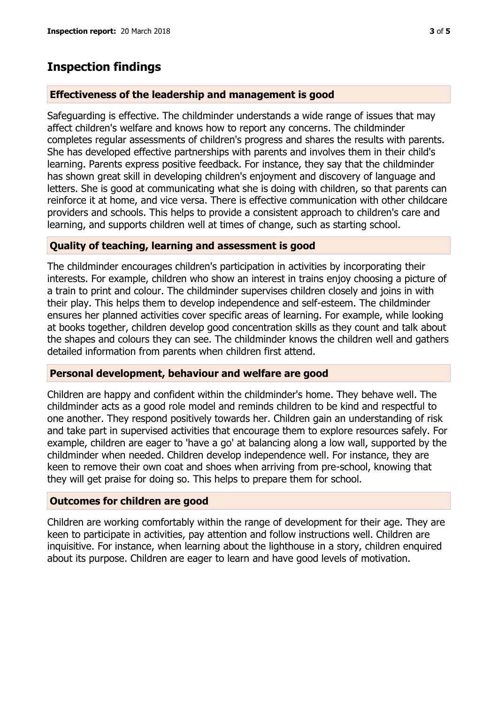## **Inspection findings**

#### **Effectiveness of the leadership and management is good**

Safeguarding is effective. The childminder understands a wide range of issues that may affect children's welfare and knows how to report any concerns. The childminder completes regular assessments of children's progress and shares the results with parents. She has developed effective partnerships with parents and involves them in their child's learning. Parents express positive feedback. For instance, they say that the childminder has shown great skill in developing children's enjoyment and discovery of language and letters. She is good at communicating what she is doing with children, so that parents can reinforce it at home, and vice versa. There is effective communication with other childcare providers and schools. This helps to provide a consistent approach to children's care and learning, and supports children well at times of change, such as starting school.

#### **Quality of teaching, learning and assessment is good**

The childminder encourages children's participation in activities by incorporating their interests. For example, children who show an interest in trains enjoy choosing a picture of a train to print and colour. The childminder supervises children closely and joins in with their play. This helps them to develop independence and self-esteem. The childminder ensures her planned activities cover specific areas of learning. For example, while looking at books together, children develop good concentration skills as they count and talk about the shapes and colours they can see. The childminder knows the children well and gathers detailed information from parents when children first attend.

#### **Personal development, behaviour and welfare are good**

Children are happy and confident within the childminder's home. They behave well. The childminder acts as a good role model and reminds children to be kind and respectful to one another. They respond positively towards her. Children gain an understanding of risk and take part in supervised activities that encourage them to explore resources safely. For example, children are eager to 'have a go' at balancing along a low wall, supported by the childminder when needed. Children develop independence well. For instance, they are keen to remove their own coat and shoes when arriving from pre-school, knowing that they will get praise for doing so. This helps to prepare them for school.

### **Outcomes for children are good**

Children are working comfortably within the range of development for their age. They are keen to participate in activities, pay attention and follow instructions well. Children are inquisitive. For instance, when learning about the lighthouse in a story, children enquired about its purpose. Children are eager to learn and have good levels of motivation.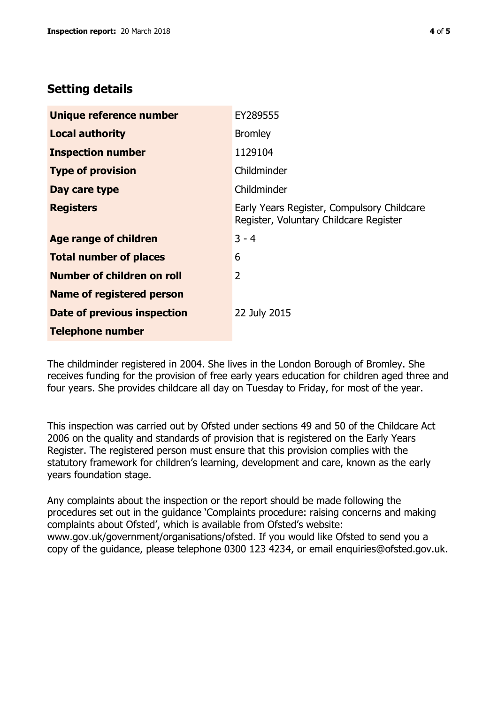## **Setting details**

| Unique reference number          | EY289555                                                                             |  |
|----------------------------------|--------------------------------------------------------------------------------------|--|
| <b>Local authority</b>           | <b>Bromley</b>                                                                       |  |
| <b>Inspection number</b>         | 1129104                                                                              |  |
| <b>Type of provision</b>         | Childminder                                                                          |  |
| Day care type                    | Childminder                                                                          |  |
| <b>Registers</b>                 | Early Years Register, Compulsory Childcare<br>Register, Voluntary Childcare Register |  |
| <b>Age range of children</b>     | $3 - 4$                                                                              |  |
| <b>Total number of places</b>    | 6                                                                                    |  |
| Number of children on roll       | $\overline{2}$                                                                       |  |
| <b>Name of registered person</b> |                                                                                      |  |
| Date of previous inspection      | 22 July 2015                                                                         |  |
| <b>Telephone number</b>          |                                                                                      |  |

The childminder registered in 2004. She lives in the London Borough of Bromley. She receives funding for the provision of free early years education for children aged three and four years. She provides childcare all day on Tuesday to Friday, for most of the year.

This inspection was carried out by Ofsted under sections 49 and 50 of the Childcare Act 2006 on the quality and standards of provision that is registered on the Early Years Register. The registered person must ensure that this provision complies with the statutory framework for children's learning, development and care, known as the early years foundation stage.

Any complaints about the inspection or the report should be made following the procedures set out in the guidance 'Complaints procedure: raising concerns and making complaints about Ofsted', which is available from Ofsted's website: www.gov.uk/government/organisations/ofsted. If you would like Ofsted to send you a copy of the guidance, please telephone 0300 123 4234, or email enquiries@ofsted.gov.uk.